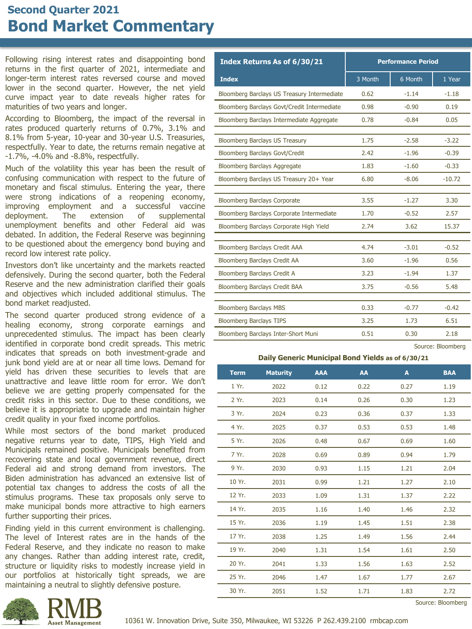## **Second Quarter 2021 Bond Market Commentary**

Following rising interest rates and disappointing bond returns in the first quarter of 2021, intermediate and longer-term interest rates reversed course and moved lower in the second quarter. However, the net yield curve impact year to date reveals higher rates for maturities of two years and longer.

According to Bloomberg, the impact of the reversal in rates produced quarterly returns of 0.7%, 3.1% and 8.1% from 5-year, 10-year and 30-year U.S. Treasuries, respectfully. Year to date, the returns remain negative at -1.7%, -4.0% and -8.8%, respectfully.

Much of the volatility this year has been the result of confusing communication with respect to the future of monetary and fiscal stimulus. Entering the year, there were strong indications of a reopening economy, improving employment and a successful vaccine deployment. The extension of supplemental unemployment benefits and other Federal aid was debated. In addition, the Federal Reserve was beginning to be questioned about the emergency bond buying and record low interest rate policy.

Investors don't like uncertainty and the markets reacted defensively. During the second quarter, both the Federal Reserve and the new administration clarified their goals and objectives which included additional stimulus. The bond market readjusted.

The second quarter produced strong evidence of a healing economy, strong corporate earnings and unprecedented stimulus. The impact has been clearly identified in corporate bond credit spreads. This metric indicates that spreads on both investment-grade and junk bond yield are at or near all time lows. Demand for yield has driven these securities to levels that are unattractive and leave little room for error. We don't believe we are getting properly compensated for the credit risks in this sector. Due to these conditions, we believe it is appropriate to upgrade and maintain higher credit quality in your fixed income portfolios.

While most sectors of the bond market produced negative returns year to date, TIPS, High Yield and Municipals remained positive. Municipals benefited from recovering state and local government revenue, direct Federal aid and strong demand from investors. The Biden administration has advanced an extensive list of potential tax changes to address the costs of all the stimulus programs. These tax proposals only serve to make municipal bonds more attractive to high earners further supporting their prices.

Finding yield in this current environment is challenging. The level of Interest rates are in the hands of the Federal Reserve, and they indicate no reason to make any changes. Rather than adding interest rate, credit, structure or liquidity risks to modestly increase yield in our portfolios at historically tight spreads, we are maintaining a neutral to slightly defensive posture.



**Daily Generic Municipal Bond Yields as of 6/30/21**

| <b>Term</b> | <b>Maturity</b> | <b>AAA</b> | AA   | A    | <b>BAA</b> |
|-------------|-----------------|------------|------|------|------------|
| 1 Yr.       | 2022            | 0.12       | 0.22 | 0.27 | 1.19       |
| 2 Yr.       | 2023            | 0.14       | 0.26 | 0.30 | 1.23       |
| 3 Yr.       | 2024            | 0.23       | 0.36 | 0.37 | 1.33       |
| 4 Yr.       | 2025            | 0.37       | 0.53 | 0.53 | 1.48       |
| 5 Yr.       | 2026            | 0.48       | 0.67 | 0.69 | 1.60       |
| 7 Yr.       | 2028            | 0.69       | 0.89 | 0.94 | 1.79       |
| 9 Yr.       | 2030            | 0.93       | 1.15 | 1.21 | 2.04       |
| 10 Yr.      | 2031            | 0.99       | 1.21 | 1.27 | 2.10       |
| 12 Yr.      | 2033            | 1.09       | 1.31 | 1.37 | 2.22       |
| 14 Yr.      | 2035            | 1.16       | 1.40 | 1.46 | 2.32       |
| 15 Yr.      | 2036            | 1.19       | 1.45 | 1.51 | 2.38       |
| 17 Yr.      | 2038            | 1.25       | 1.49 | 1.56 | 2.44       |
| 19 Yr.      | 2040            | 1.31       | 1.54 | 1.61 | 2.50       |
| 20 Yr.      | 2041            | 1.33       | 1.56 | 1.63 | 2.52       |
| 25 Yr.      | 2046            | 1.47       | 1.67 | 1.77 | 2.67       |
| 30 Yr.      | 2051            | 1.52       | 1.71 | 1.83 | 2.72       |

Source: Bloomberg